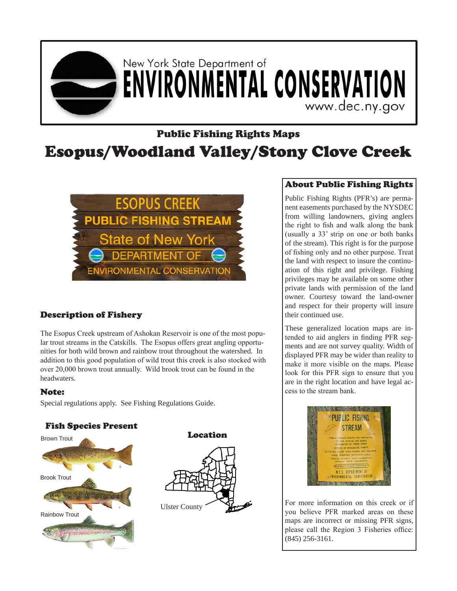

# New York State Department of **ENVIRONMENTAL CONSERVATION** www.dec.ny.gov

# Public Fishing Rights Maps Esopus/Woodland Valley/Stony Clove Creek



### Description of Fishery

The Esopus Creek upstream of Ashokan Reservoir is one of the most popular trout streams in the Catskills. The Esopus offers great angling opportunities for both wild brown and rainbow trout throughout the watershed. In addition to this good population of wild trout this creek is also stocked with over 20,000 brown trout annually. Wild brook trout can be found in the headwaters.

#### Note:

Special regulations apply. See Fishing Regulations Guide.

#### Fish Species Present





Location

## About Public Fishing Rights

Public Fishing Rights (PFR's) are permanent easements purchased by the NYSDEC from willing landowners, giving anglers the right to fish and walk along the bank (usually a 33' strip on one or both banks of the stream). This right is for the purpose of fishing only and no other purpose. Treat the land with respect to insure the continuation of this right and privilege. Fishing privileges may be available on some other private lands with permission of the land owner. Courtesy toward the land-owner and respect for their property will insure their continued use.

These generalized location maps are intended to aid anglers in finding PFR segments and are not survey quality. Width of displayed PFR may be wider than reality to make it more visible on the maps. Please look for this PFR sign to ensure that you are in the right location and have legal access to the stream bank.



For more information on this creek or if you believe PFR marked areas on these maps are incorrect or missing PFR signs, please call the Region 3 Fisheries office: (845) 256-3161.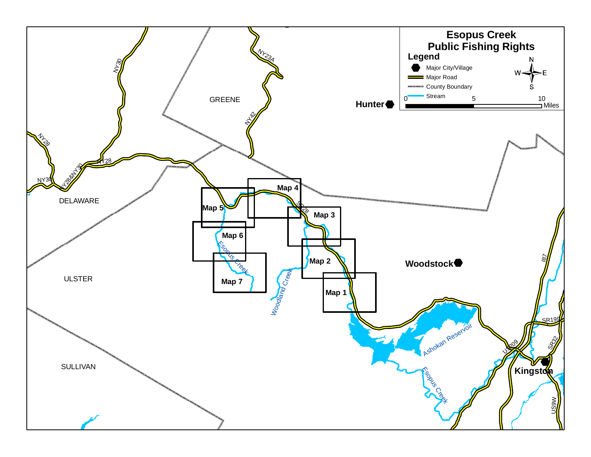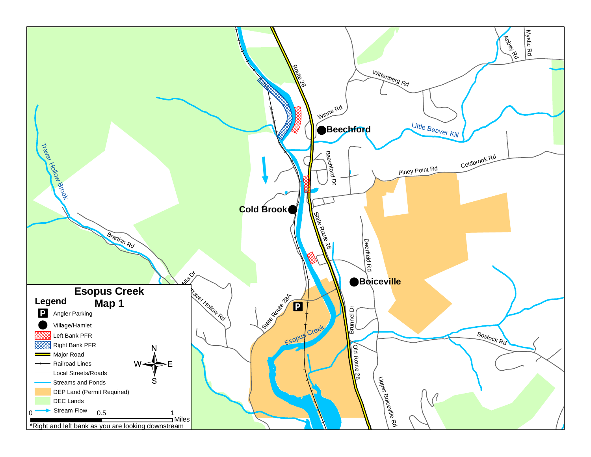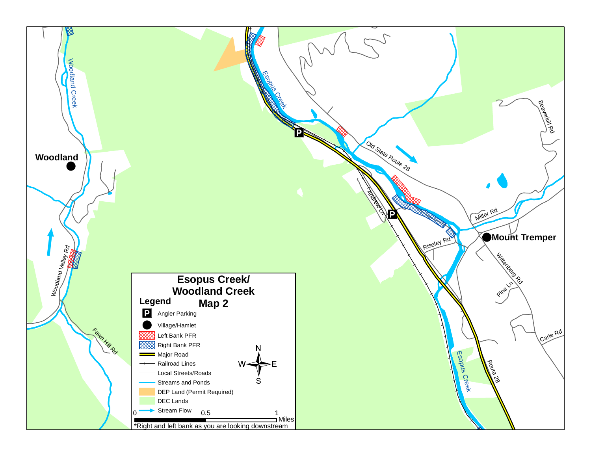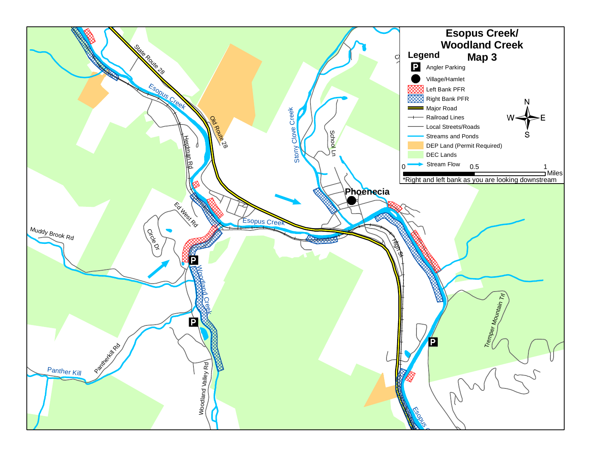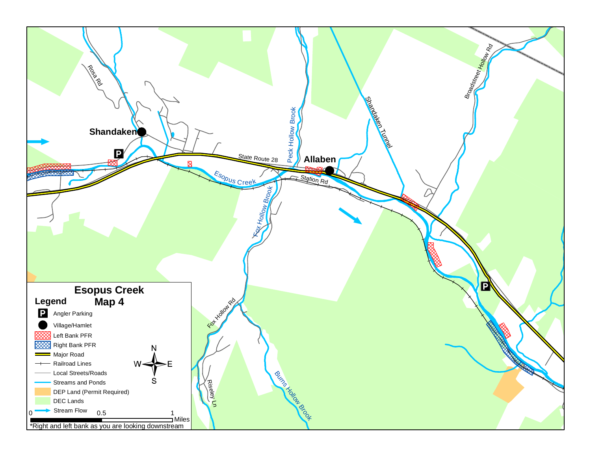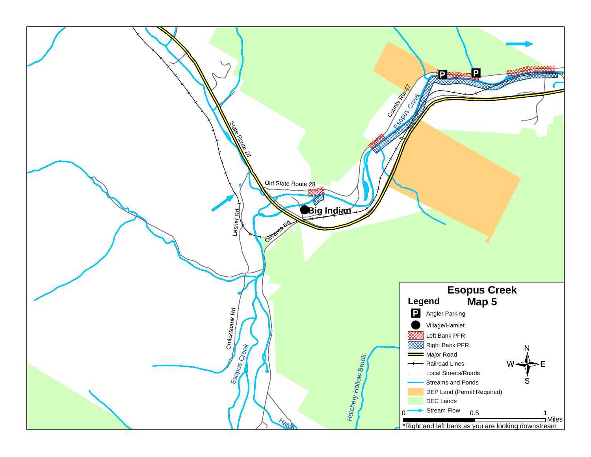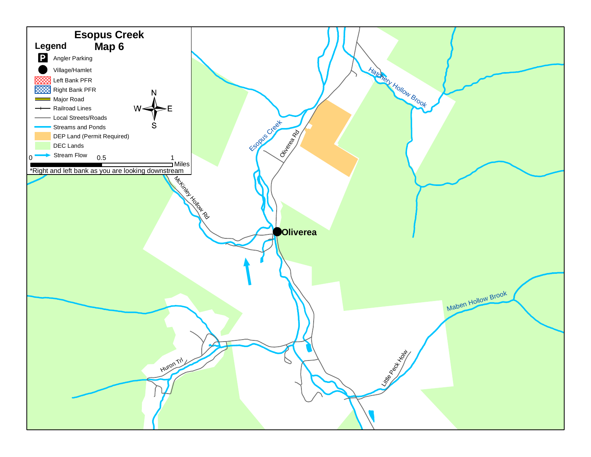